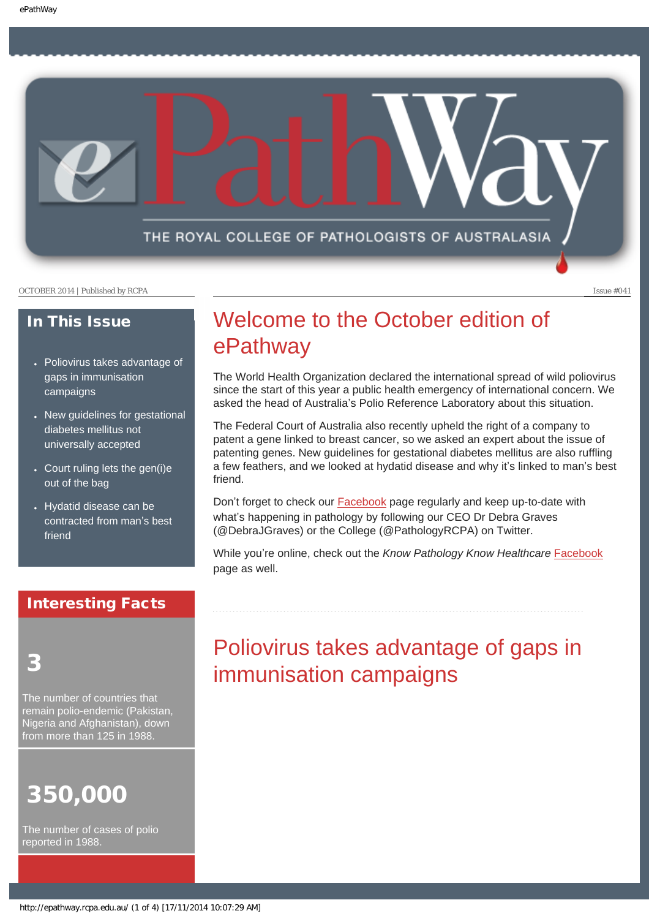THE ROYAL COLLEGE OF PATHOLOGISTS OF AUSTRALASIA

OCTOBER 2014 | Published by RCPA Issue #041

### In This Issue

- Poliovirus takes advantage of gaps in immunisation campaigns
- New guidelines for gestational diabetes mellitus not universally accepted
- $\cdot$  Court ruling lets the gen(i)e out of the bag
- Hydatid disease can be contracted from man's best friend

### Interesting Facts

3

The number of countries that remain polio-endemic (Pakistan, Nigeria and Afghanistan), down from more than 125 in 1988.

# 350,000

The number of cases of polio reported in 1988.

# Welcome to the October edition of ePathway

The World Health Organization declared the international spread of wild poliovirus since the start of this year a public health emergency of international concern. We asked the head of Australia's Polio Reference Laboratory about this situation.

The Federal Court of Australia also recently upheld the right of a company to patent a gene linked to breast cancer, so we asked an expert about the issue of patenting genes. New guidelines for gestational diabetes mellitus are also ruffling a few feathers, and we looked at hydatid disease and why it's linked to man's best friend.

Don't forget to check our [Facebook](https://www.facebook.com/TheRoyalCollegeOfPathologistsOfAustralasia) page regularly and keep up-to-date with what's happening in pathology by following our CEO Dr Debra Graves (@DebraJGraves) or the College (@PathologyRCPA) on Twitter.

While you're online, check out the *Know Pathology Know Healthcare* [Facebook](https://www.facebook.com/KnowPathology) page as well.

# Poliovirus takes advantage of gaps in immunisation campaigns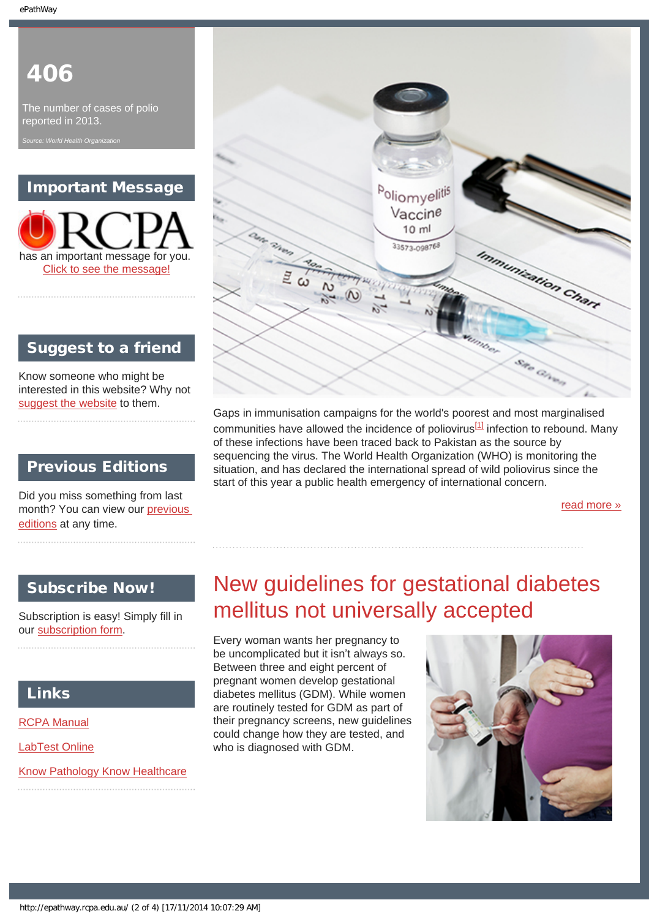# 406

The number of cases of polio reported in 2013.

*Source: World Health Organization*

### Important Message

has an important message for you. [Click to see the message!](http://epathway.rcpa.edu.au/notice.html)

### Suggest to a friend

Know someone who might be interested in this website? Why not [suggest the website](mailto:?Subject=I%20think%20you%20should%20read%20this%20Newsletter=
http://epathway.rcpa.edu.au/index.html) to them.

### Previous Editions

Did you miss something from last month? You can view our [previous](#page-4-0)  [editions](#page-4-0) at any time.

### Subscribe Now!

Subscription is easy! Simply fill in our [subscription form](http://epathway.rcpa.edu.au/subscription.html).

### Links

[RCPA Manual](http://rcpamanual.edu.au/)

[LabTest Online](http://www.labtestsonline.org.au/)

[Know Pathology Know Healthcare](http://knowpathology.com.au/)



Gaps in immunisation campaigns for the world's poorest and most marginalised communities have allowed the incidence of poliovirus<sup>[\[1\]](#page-7-0)</sup> infection to rebound. Many of these infections have been traced back to Pakistan as the source by sequencing the virus. The World Health Organization (WHO) is monitoring the situation, and has declared the international spread of wild poliovirus since the start of this year a public health emergency of international concern.

[read more »](#page-6-0)

# New guidelines for gestational diabetes mellitus not universally accepted

Every woman wants her pregnancy to be uncomplicated but it isn't always so. Between three and eight percent of pregnant women develop gestational diabetes mellitus (GDM). While women are routinely tested for GDM as part of their pregnancy screens, new guidelines could change how they are tested, and who is diagnosed with GDM.

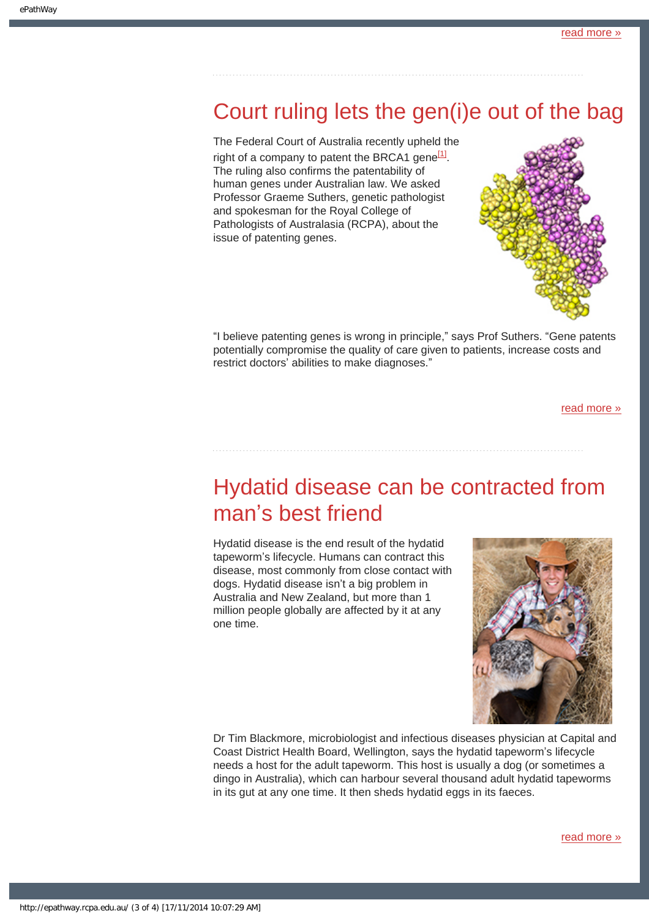### Court ruling lets the gen(i)e out of the bag

The Federal Court of Australia recently upheld the right of a company to patent the BRCA1 gene $^{[1]}$ . The ruling also confirms the patentability of human genes under Australian law. We asked Professor Graeme Suthers, genetic pathologist and spokesman for the Royal College of Pathologists of Australasia (RCPA), about the issue of patenting genes.



"I believe patenting genes is wrong in principle," says Prof Suthers. "Gene patents potentially compromise the quality of care given to patients, increase costs and restrict doctors' abilities to make diagnoses."

[read more »](#page-10-0)

# Hydatid disease can be contracted from man's best friend

Hydatid disease is the end result of the hydatid tapeworm's lifecycle. Humans can contract this disease, most commonly from close contact with dogs. Hydatid disease isn't a big problem in Australia and New Zealand, but more than 1 million people globally are affected by it at any one time.



Dr Tim Blackmore, microbiologist and infectious diseases physician at Capital and Coast District Health Board, Wellington, says the hydatid tapeworm's lifecycle needs a host for the adult tapeworm. This host is usually a dog (or sometimes a dingo in Australia), which can harbour several thousand adult hydatid tapeworms in its gut at any one time. It then sheds hydatid eggs in its faeces.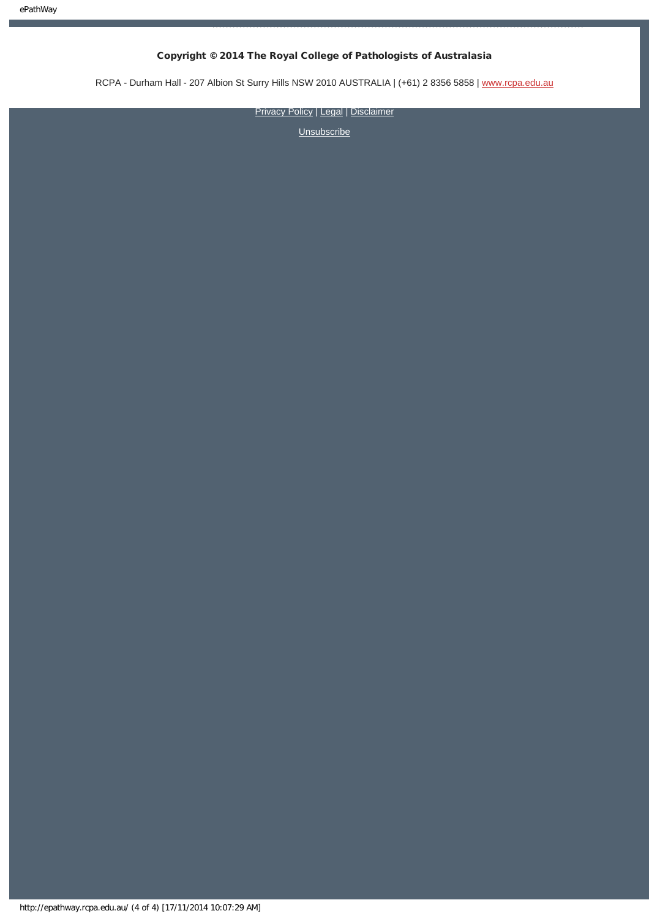### Copyright © 2014 The Royal College of Pathologists of Australasia

RCPA - Durham Hall - 207 Albion St Surry Hills NSW 2010 AUSTRALIA | (+61) 2 8356 5858 | [www.rcpa.edu.au](http://www.rcpa.edu.au/)

[Privacy Policy](http://www.rcpa.edu.au/Content-Library/Privacy.aspx) | [Legal](http://www.rcpa.edu.au/Legal.aspx) | [Disclaimer](http://www.rcpa.edu.au/Disclaimer.aspx)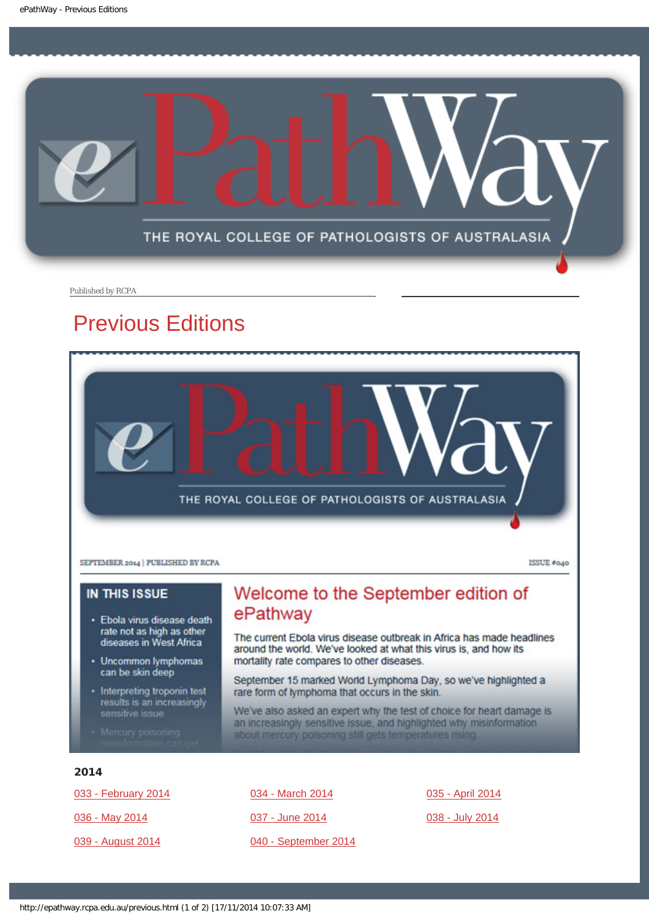<span id="page-4-0"></span>

Published by RCPA

## Previous Editions



**IN THIS ISSUE** 

- · Ebola virus disease death rate not as high as other<br>diseases in West Africa
- Uncommon lymphomas can be skin deep
- · Interpreting troponin test results is an increasingly sensitive issue
- 

### Welcome to the September edition of ePathway

The current Ebola virus disease outbreak in Africa has made headlines around the world. We've looked at what this virus is, and how its mortality rate compares to other diseases.

September 15 marked World Lymphoma Day, so we've highlighted a rare form of lymphoma that occurs in the skin.

We've also asked an expert why the test of choice for heart damage is an increasingly sensitive issue, and highlighted why misinformation about mercury poisoning still gets temperatures rising.

### 2014

[033 - February 2014](http://epathway.rcpa.edu.au/previous/033_0214.pdf) [036 - May 2014](http://epathway.rcpa.edu.au/previous/036_0514.pdf) [039 - August 2014](http://epathway.rcpa.edu.au/previous/039_0814.pdf)

[034 - March 2014](http://epathway.rcpa.edu.au/previous/034_0314.pdf) [037 - June 2014](http://epathway.rcpa.edu.au/previous/037_0614.pdf) [040 - September 2014](http://epathway.rcpa.edu.au/previous/040_0914.pdf) [035 - April 2014](http://epathway.rcpa.edu.au/previous/035_0414.pdf)

[038 - July 2014](http://epathway.rcpa.edu.au/previous/038_0714.pdf)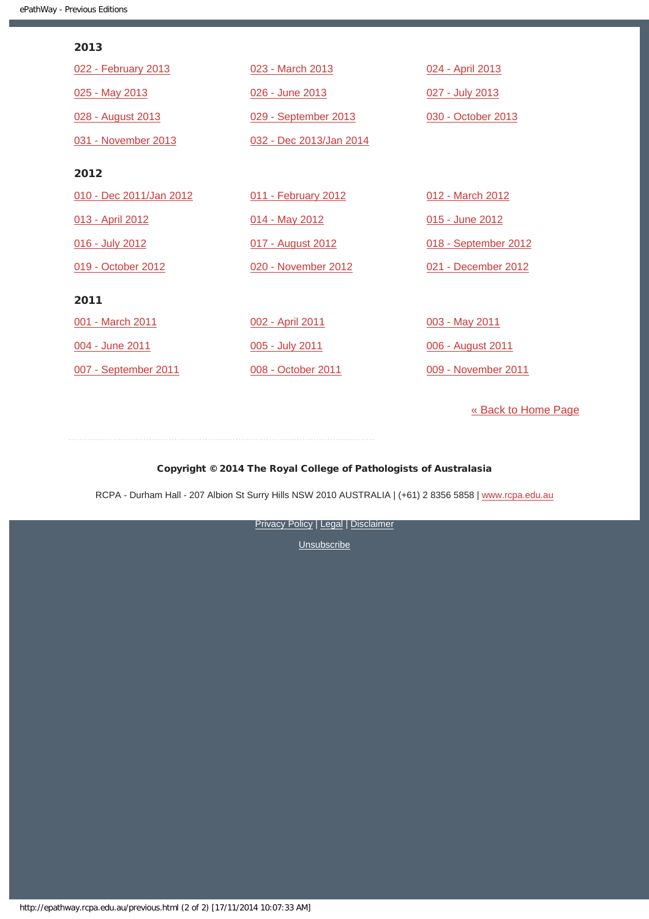#### 2013

| 022 - February 2013     | 023 - March 2013        | 024 - April 2013     |
|-------------------------|-------------------------|----------------------|
| 025 - May 2013          | 026 - June 2013         | 027 - July 2013      |
| 028 - August 2013       | 029 - September 2013    | 030 - October 2013   |
| 031 - November 2013     | 032 - Dec 2013/Jan 2014 |                      |
| 2012                    |                         |                      |
| 010 - Dec 2011/Jan 2012 | 011 - February 2012     | 012 - March 2012     |
| 013 - April 2012        | 014 - May 2012          | 015 - June 2012      |
| 016 - July 2012         | 017 - August 2012       | 018 - September 2012 |
| 019 - October 2012      | 020 - November 2012     | 021 - December 2012  |
| 2011                    |                         |                      |
| 001 - March 2011        | 002 - April 2011        | 003 - May 2011       |
| 004 - June 2011         | 005 - July 2011         | 006 - August 2011    |
| 007 - September 2011    | 008 - October 2011      | 009 - November 2011  |

[« Back to Home Page](http://epathway.rcpa.edu.au/index.html)

### Copyright © 2014 The Royal College of Pathologists of Australasia

RCPA - Durham Hall - 207 Albion St Surry Hills NSW 2010 AUSTRALIA | (+61) 2 8356 5858 | [www.rcpa.edu.au](http://www.rcpa.edu.au/)

**[Privacy Policy](http://www.rcpa.edu.au/Content-Library/Privacy.aspx) | [Legal](http://www.rcpa.edu.au/Legal.aspx) | [Disclaimer](http://www.rcpa.edu.au/Disclaimer.aspx)**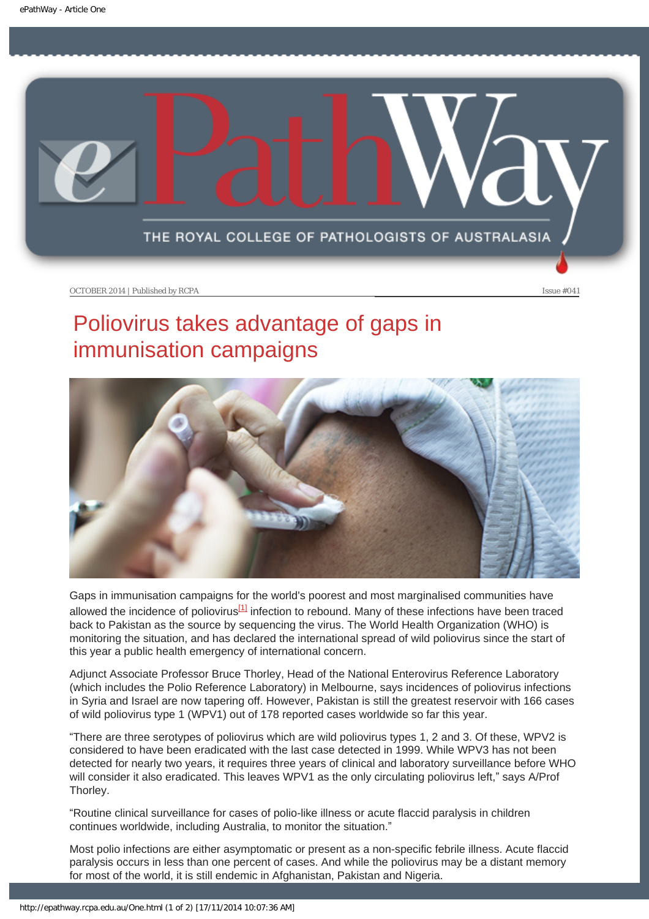<span id="page-6-0"></span>

# Poliovirus takes advantage of gaps in immunisation campaigns



<span id="page-6-1"></span>Gaps in immunisation campaigns for the world's poorest and most marginalised communities have allowed the incidence of poliovirus<sup>[1]</sup> infection to rebound. Many of these infections have been traced back to Pakistan as the source by sequencing the virus. The World Health Organization (WHO) is monitoring the situation, and has declared the international spread of wild poliovirus since the start of this year a public health emergency of international concern.

Adjunct Associate Professor Bruce Thorley, Head of the National Enterovirus Reference Laboratory (which includes the Polio Reference Laboratory) in Melbourne, says incidences of poliovirus infections in Syria and Israel are now tapering off. However, Pakistan is still the greatest reservoir with 166 cases of wild poliovirus type 1 (WPV1) out of 178 reported cases worldwide so far this year.

"There are three serotypes of poliovirus which are wild poliovirus types 1, 2 and 3. Of these, WPV2 is considered to have been eradicated with the last case detected in 1999. While WPV3 has not been detected for nearly two years, it requires three years of clinical and laboratory surveillance before WHO will consider it also eradicated. This leaves WPV1 as the only circulating poliovirus left," says A/Prof Thorley.

"Routine clinical surveillance for cases of polio-like illness or acute flaccid paralysis in children continues worldwide, including Australia, to monitor the situation."

Most polio infections are either asymptomatic or present as a non-specific febrile illness. Acute flaccid paralysis occurs in less than one percent of cases. And while the poliovirus may be a distant memory for most of the world, it is still endemic in Afghanistan, Pakistan and Nigeria.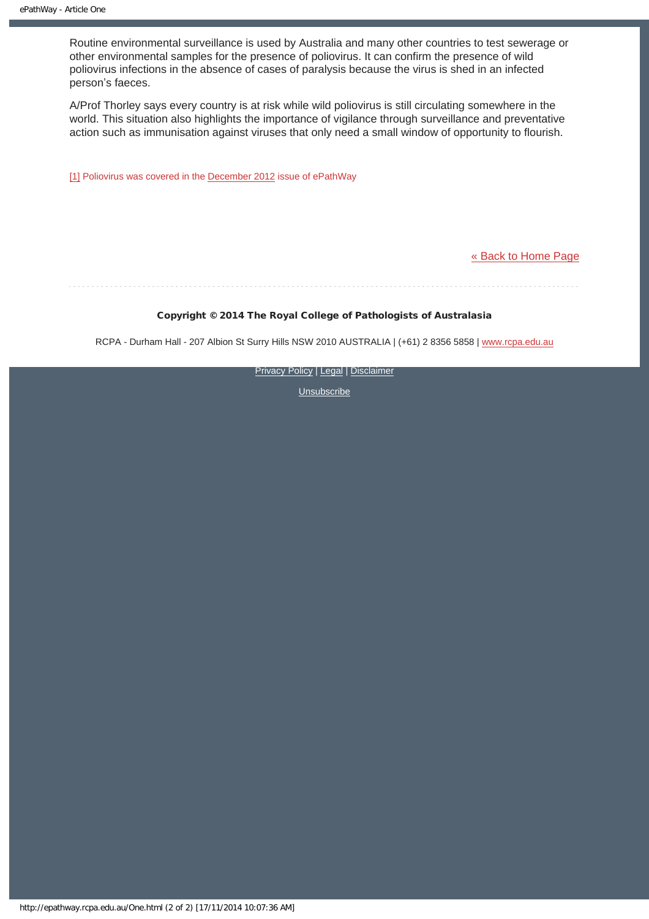Routine environmental surveillance is used by Australia and many other countries to test sewerage or other environmental samples for the presence of poliovirus. It can confirm the presence of wild poliovirus infections in the absence of cases of paralysis because the virus is shed in an infected person's faeces.

A/Prof Thorley says every country is at risk while wild poliovirus is still circulating somewhere in the world. This situation also highlights the importance of vigilance through surveillance and preventative action such as immunisation against viruses that only need a small window of opportunity to flourish.

<span id="page-7-0"></span>[\[1\]](#page-6-1) Poliovirus was covered in the [December 2012](http://epathway.rcpa.edu.au/previous/021_1212.pdf) issue of ePathWay

#### [« Back to Home Page](http://epathway.rcpa.edu.au/index.html)

#### Copyright © 2014 The Royal College of Pathologists of Australasia

RCPA - Durham Hall - 207 Albion St Surry Hills NSW 2010 AUSTRALIA | (+61) 2 8356 5858 | [www.rcpa.edu.au](http://www.rcpa.edu.au/)

**[Privacy Policy](http://www.rcpa.edu.au/Content-Library/Privacy.aspx) | [Legal](http://www.rcpa.edu.au/Legal.aspx) | [Disclaimer](http://www.rcpa.edu.au/Disclaimer.aspx)**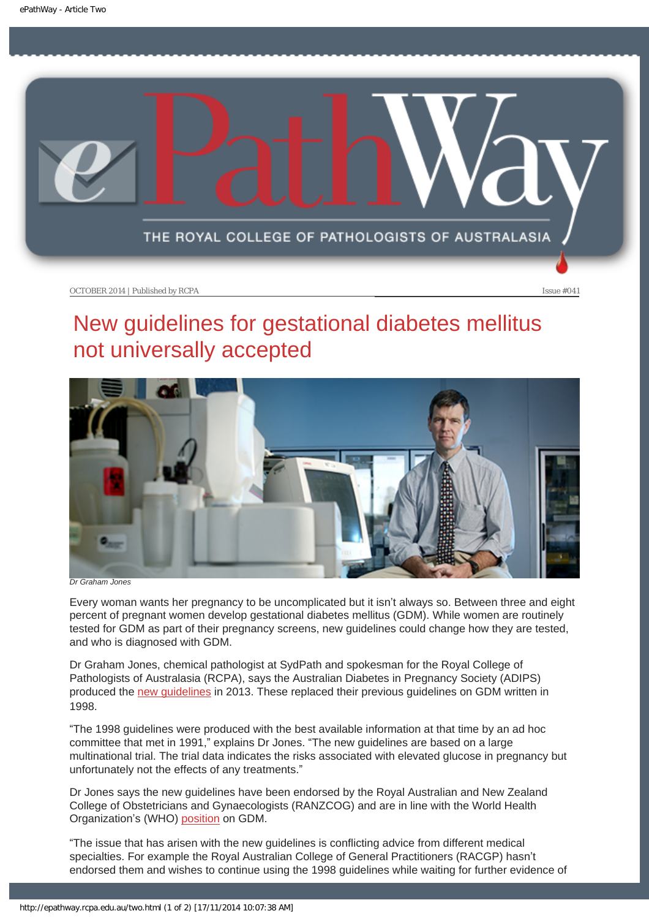<span id="page-8-0"></span>

# New guidelines for gestational diabetes mellitus not universally accepted



*Dr Graham Jones*

Every woman wants her pregnancy to be uncomplicated but it isn't always so. Between three and eight percent of pregnant women develop gestational diabetes mellitus (GDM). While women are routinely tested for GDM as part of their pregnancy screens, new guidelines could change how they are tested, and who is diagnosed with GDM.

Dr Graham Jones, chemical pathologist at SydPath and spokesman for the Royal College of Pathologists of Australasia (RCPA), says the Australian Diabetes in Pregnancy Society (ADIPS) produced the [new guidelines](http://adips.org/downloads/2014ADIPSGDMGuidelinesVJune2014FINALforWEB.pdf) in 2013. These replaced their previous guidelines on GDM written in 1998.

"The 1998 guidelines were produced with the best available information at that time by an ad hoc committee that met in 1991," explains Dr Jones. "The new guidelines are based on a large multinational trial. The trial data indicates the risks associated with elevated glucose in pregnancy but unfortunately not the effects of any treatments."

Dr Jones says the new guidelines have been endorsed by the Royal Australian and New Zealand College of Obstetricians and Gynaecologists (RANZCOG) and are in line with the World Health Organization's (WHO) [position](http://apps.who.int/iris/bitstream/10665/85975/1/WHO_NMH_MND_13.2_eng.pdf) on GDM.

"The issue that has arisen with the new guidelines is conflicting advice from different medical specialties. For example the Royal Australian College of General Practitioners (RACGP) hasn't endorsed them and wishes to continue using the 1998 guidelines while waiting for further evidence of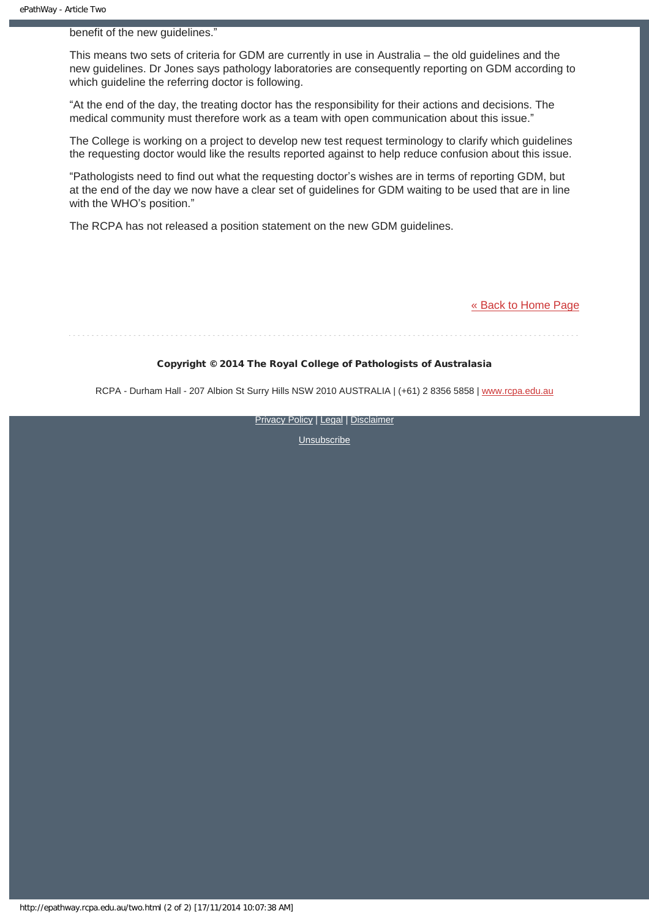benefit of the new guidelines."

This means two sets of criteria for GDM are currently in use in Australia – the old guidelines and the new guidelines. Dr Jones says pathology laboratories are consequently reporting on GDM according to which guideline the referring doctor is following.

"At the end of the day, the treating doctor has the responsibility for their actions and decisions. The medical community must therefore work as a team with open communication about this issue."

The College is working on a project to develop new test request terminology to clarify which guidelines the requesting doctor would like the results reported against to help reduce confusion about this issue.

"Pathologists need to find out what the requesting doctor's wishes are in terms of reporting GDM, but at the end of the day we now have a clear set of guidelines for GDM waiting to be used that are in line with the WHO's position."

The RCPA has not released a position statement on the new GDM guidelines.

[« Back to Home Page](http://epathway.rcpa.edu.au/index.html)

#### Copyright © 2014 The Royal College of Pathologists of Australasia

RCPA - Durham Hall - 207 Albion St Surry Hills NSW 2010 AUSTRALIA | (+61) 2 8356 5858 | [www.rcpa.edu.au](http://www.rcpa.edu.au/)

**[Privacy Policy](http://www.rcpa.edu.au/Content-Library/Privacy.aspx) | [Legal](http://www.rcpa.edu.au/Legal.aspx) | [Disclaimer](http://www.rcpa.edu.au/Disclaimer.aspx)**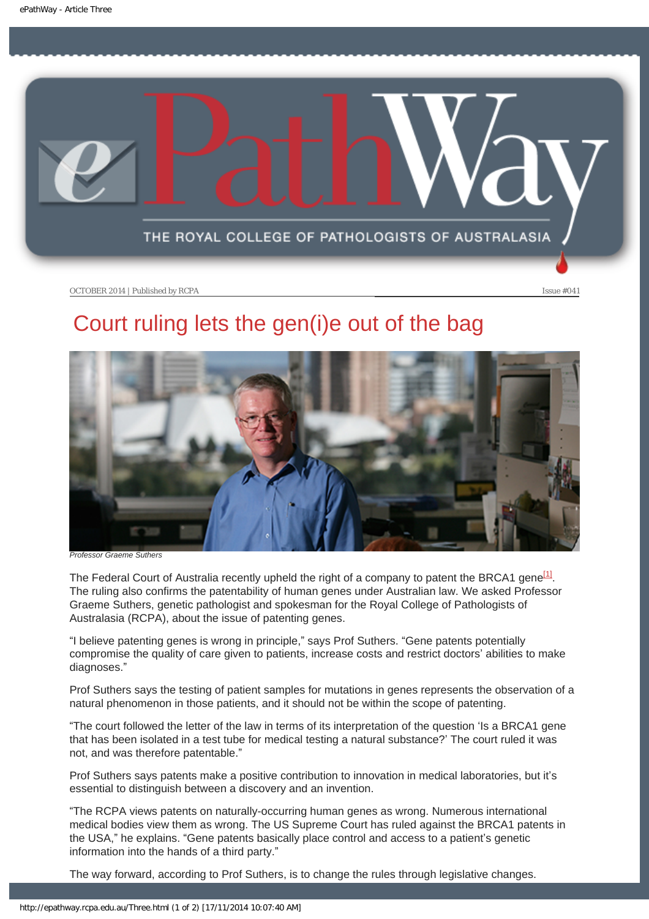<span id="page-10-0"></span>

# Court ruling lets the gen(i)e out of the bag



*Professor Graeme Suthers*

The Federal Court of Australia recently upheld the right of a company to patent the BRCA1 gene<sup>[1]</sup>. The ruling also confirms the patentability of human genes under Australian law. We asked Professor Graeme Suthers, genetic pathologist and spokesman for the Royal College of Pathologists of Australasia (RCPA), about the issue of patenting genes.

"I believe patenting genes is wrong in principle," says Prof Suthers. "Gene patents potentially compromise the quality of care given to patients, increase costs and restrict doctors' abilities to make diagnoses."

Prof Suthers says the testing of patient samples for mutations in genes represents the observation of a natural phenomenon in those patients, and it should not be within the scope of patenting.

"The court followed the letter of the law in terms of its interpretation of the question 'Is a BRCA1 gene that has been isolated in a test tube for medical testing a natural substance?' The court ruled it was not, and was therefore patentable."

Prof Suthers says patents make a positive contribution to innovation in medical laboratories, but it's essential to distinguish between a discovery and an invention.

"The RCPA views patents on naturally-occurring human genes as wrong. Numerous international medical bodies view them as wrong. The US Supreme Court has ruled against the BRCA1 patents in the USA," he explains. "Gene patents basically place control and access to a patient's genetic information into the hands of a third party."

The way forward, according to Prof Suthers, is to change the rules through legislative changes.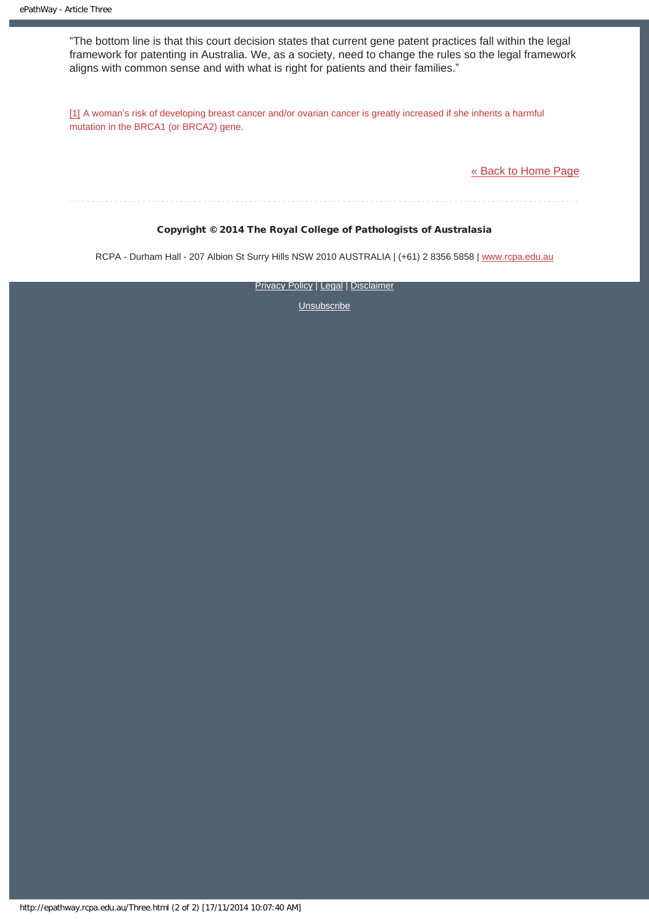"The bottom line is that this court decision states that current gene patent practices fall within the legal framework for patenting in Australia. We, as a society, need to change the rules so the legal framework aligns with common sense and with what is right for patients and their families."

[1] A woman's risk of developing breast cancer and/or ovarian cancer is greatly increased if she inherits a harmful mutation in the BRCA1 (or BRCA2) gene.

[« Back to Home Page](http://epathway.rcpa.edu.au/index.html)

### Copyright © 2014 The Royal College of Pathologists of Australasia

RCPA - Durham Hall - 207 Albion St Surry Hills NSW 2010 AUSTRALIA | (+61) 2 8356 5858 | [www.rcpa.edu.au](http://www.rcpa.edu.au/)

**[Privacy Policy](http://www.rcpa.edu.au/Content-Library/Privacy.aspx) | [Legal](http://www.rcpa.edu.au/Legal.aspx) | [Disclaimer](http://www.rcpa.edu.au/Disclaimer.aspx)**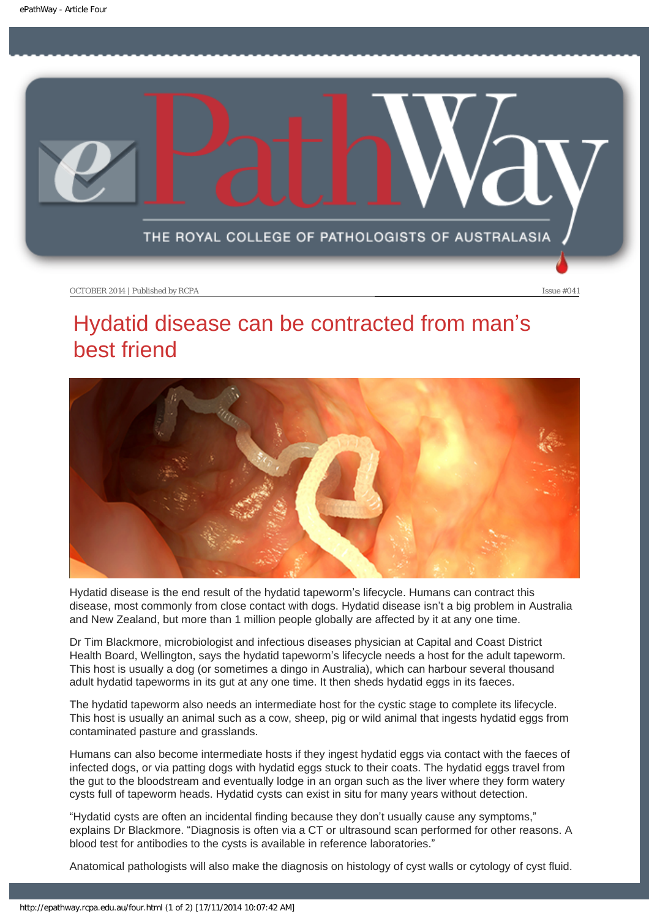<span id="page-12-0"></span>

# Hydatid disease can be contracted from man's best friend



Hydatid disease is the end result of the hydatid tapeworm's lifecycle. Humans can contract this disease, most commonly from close contact with dogs. Hydatid disease isn't a big problem in Australia and New Zealand, but more than 1 million people globally are affected by it at any one time.

Dr Tim Blackmore, microbiologist and infectious diseases physician at Capital and Coast District Health Board, Wellington, says the hydatid tapeworm's lifecycle needs a host for the adult tapeworm. This host is usually a dog (or sometimes a dingo in Australia), which can harbour several thousand adult hydatid tapeworms in its gut at any one time. It then sheds hydatid eggs in its faeces.

The hydatid tapeworm also needs an intermediate host for the cystic stage to complete its lifecycle. This host is usually an animal such as a cow, sheep, pig or wild animal that ingests hydatid eggs from contaminated pasture and grasslands.

Humans can also become intermediate hosts if they ingest hydatid eggs via contact with the faeces of infected dogs, or via patting dogs with hydatid eggs stuck to their coats. The hydatid eggs travel from the gut to the bloodstream and eventually lodge in an organ such as the liver where they form watery cysts full of tapeworm heads. Hydatid cysts can exist in situ for many years without detection.

"Hydatid cysts are often an incidental finding because they don't usually cause any symptoms," explains Dr Blackmore. "Diagnosis is often via a CT or ultrasound scan performed for other reasons. A blood test for antibodies to the cysts is available in reference laboratories."

Anatomical pathologists will also make the diagnosis on histology of cyst walls or cytology of cyst fluid.